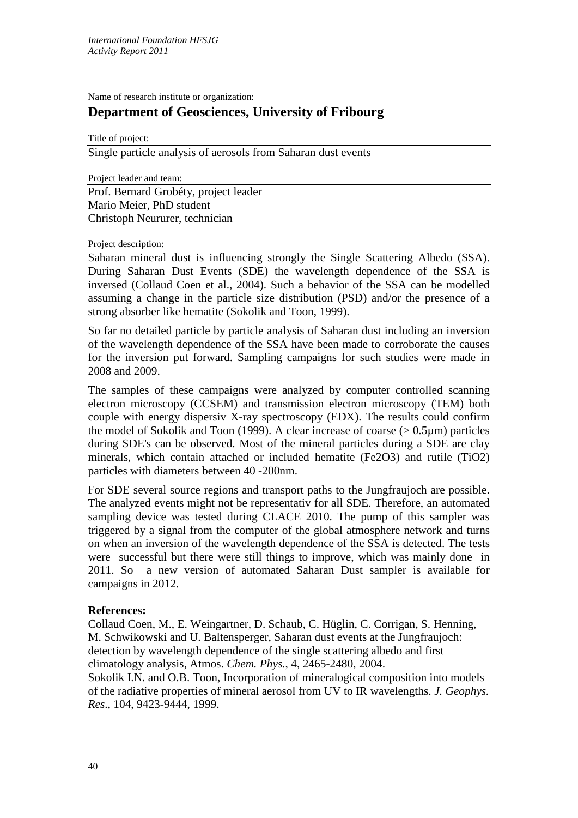Name of research institute or organization:

## **Department of Geosciences, University of Fribourg**

Title of project:

Single particle analysis of aerosols from Saharan dust events

Project leader and team: Prof. Bernard Grobéty, project leader Mario Meier, PhD student Christoph Neururer, technician

## Project description:

Saharan mineral dust is influencing strongly the Single Scattering Albedo (SSA). During Saharan Dust Events (SDE) the wavelength dependence of the SSA is inversed (Collaud Coen et al., 2004). Such a behavior of the SSA can be modelled assuming a change in the particle size distribution (PSD) and/or the presence of a strong absorber like hematite (Sokolik and Toon, 1999).

So far no detailed particle by particle analysis of Saharan dust including an inversion of the wavelength dependence of the SSA have been made to corroborate the causes for the inversion put forward. Sampling campaigns for such studies were made in 2008 and 2009.

The samples of these campaigns were analyzed by computer controlled scanning electron microscopy (CCSEM) and transmission electron microscopy (TEM) both couple with energy dispersiv X-ray spectroscopy (EDX). The results could confirm the model of Sokolik and Toon (1999). A clear increase of coarse  $(> 0.5 \mu m)$  particles during SDE's can be observed. Most of the mineral particles during a SDE are clay minerals, which contain attached or included hematite (Fe2O3) and rutile (TiO2) particles with diameters between 40 -200nm.

For SDE several source regions and transport paths to the Jungfraujoch are possible. The analyzed events might not be representativ for all SDE. Therefore, an automated sampling device was tested during CLACE 2010. The pump of this sampler was triggered by a signal from the computer of the global atmosphere network and turns on when an inversion of the wavelength dependence of the SSA is detected. The tests were successful but there were still things to improve, which was mainly done in 2011. So a new version of automated Saharan Dust sampler is available for campaigns in 2012.

## **References:**

Collaud Coen, M., E. Weingartner, D. Schaub, C. Hüglin, C. Corrigan, S. Henning, M. Schwikowski and U. Baltensperger, Saharan dust events at the Jungfraujoch: detection by wavelength dependence of the single scattering albedo and first climatology analysis, Atmos. *Chem. Phys.*, 4, 2465-2480, 2004.

Sokolik I.N. and O.B. Toon, Incorporation of mineralogical composition into models of the radiative properties of mineral aerosol from UV to IR wavelengths. *J. Geophys. Res*., 104, 9423-9444, 1999.